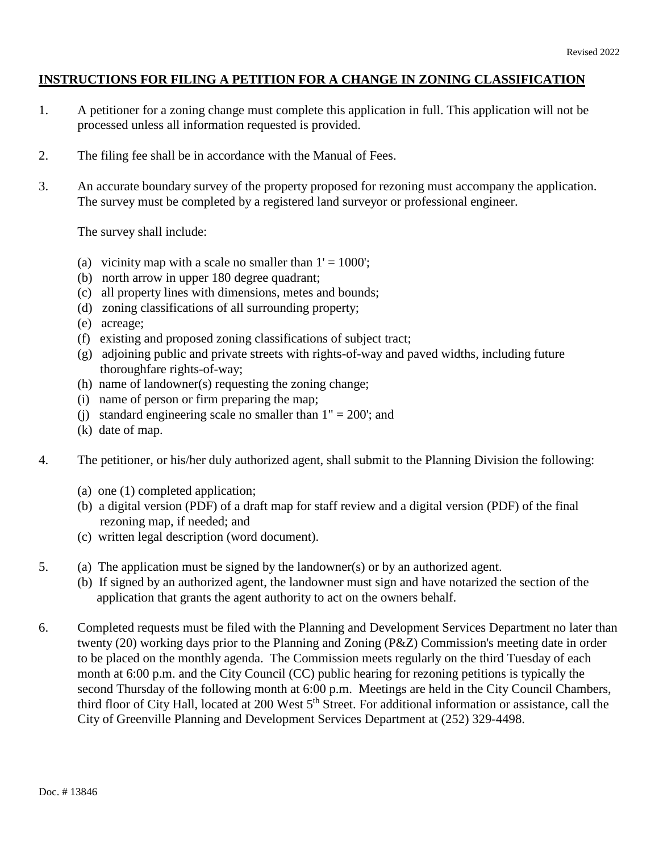# **INSTRUCTIONS FOR FILING A PETITION FOR A CHANGE IN ZONING CLASSIFICATION**

- 1. A petitioner for a zoning change must complete this application in full. This application will not be processed unless all information requested is provided.
- 2. The filing fee shall be in accordance with the Manual of Fees.
- 3. An accurate boundary survey of the property proposed for rezoning must accompany the application. The survey must be completed by a registered land surveyor or professional engineer.

The survey shall include:

- (a) vicinity map with a scale no smaller than  $1' = 1000'$ ;
- (b) north arrow in upper 180 degree quadrant;
- (c) all property lines with dimensions, metes and bounds;
- (d) zoning classifications of all surrounding property;
- (e) acreage;
- (f) existing and proposed zoning classifications of subject tract;
- (g) adjoining public and private streets with rights-of-way and paved widths, including future thoroughfare rights-of-way;
- (h) name of landowner(s) requesting the zoning change;
- (i) name of person or firm preparing the map;
- (i) standard engineering scale no smaller than  $1" = 200$ ; and
- (k) date of map.
- 4. The petitioner, or his/her duly authorized agent, shall submit to the Planning Division the following:
	- (a) one (1) completed application;
	- (b) a digital version (PDF) of a draft map for staff review and a digital version (PDF) of the final rezoning map, if needed; and
	- (c) written legal description (word document).
- 5. (a) The application must be signed by the landowner(s) or by an authorized agent.
	- (b) If signed by an authorized agent, the landowner must sign and have notarized the section of the application that grants the agent authority to act on the owners behalf.
- 6. Completed requests must be filed with the Planning and Development Services Department no later than twenty (20) working days prior to the Planning and Zoning (P&Z) Commission's meeting date in order to be placed on the monthly agenda. The Commission meets regularly on the third Tuesday of each month at 6:00 p.m. and the City Council (CC) public hearing for rezoning petitions is typically the second Thursday of the following month at 6:00 p.m. Meetings are held in the City Council Chambers, third floor of City Hall, located at 200 West 5<sup>th</sup> Street. For additional information or assistance, call the City of Greenville Planning and Development Services Department at (252) 329-4498.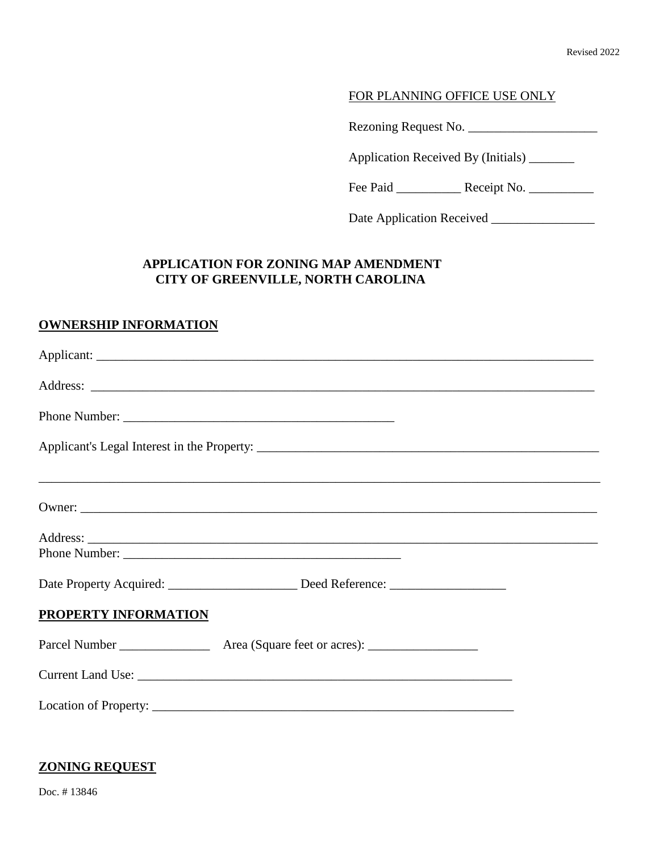## FOR PLANNING OFFICE USE ONLY

Rezoning Request No. \_\_\_\_\_\_\_\_\_\_\_\_\_\_\_\_\_\_\_\_

Application Received By (Initials) \_\_\_\_\_\_\_

Fee Paid \_\_\_\_\_\_\_\_\_\_ Receipt No. \_\_\_\_\_\_\_\_\_\_

Date Application Received \_\_\_\_\_\_\_\_\_\_\_\_\_\_\_\_

# **APPLICATION FOR ZONING MAP AMENDMENT CITY OF GREENVILLE, NORTH CAROLINA**

#### **OWNERSHIP INFORMATION**

| Date Property Acquired: ______________________ Deed Reference: _________________ |  |
|----------------------------------------------------------------------------------|--|
| PROPERTY INFORMATION                                                             |  |
|                                                                                  |  |
|                                                                                  |  |
|                                                                                  |  |

#### **ZONING REQUEST**

Doc. # 13846